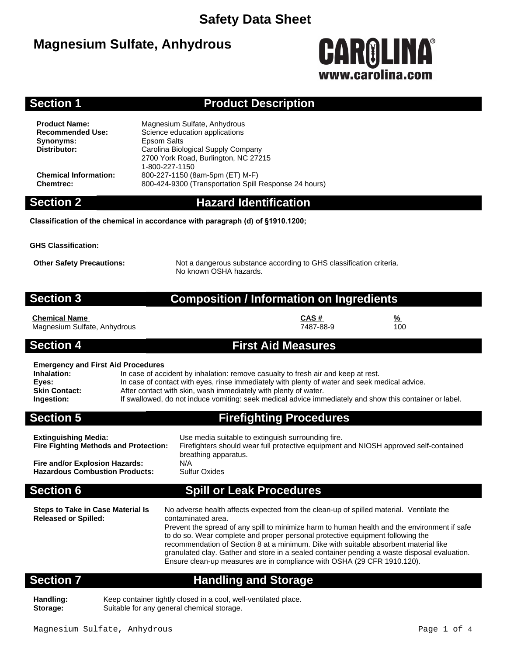## **Magnesium Sulfate, Anhydrous**



### **Section 1 Product Description**

**Synonyms:** Epsom Salts<br> **Distributor:** Carolina Biol

**Product Name:** Magnesium Sulfate, Anhydrous<br> **Recommended Use:** Science education applications **Science education applications Distributor:** Carolina Biological Supply Company 2700 York Road, Burlington, NC 27215 1-800-227-1150 **Chemical Information:** 800-227-1150 (8am-5pm (ET) M-F) **Chemtrec:** 800-424-9300 (Transportation Spill Response 24 hours)

## **Section 2 Hazard Identification**

**Classification of the chemical in accordance with paragraph (d) of §1910.1200;**

**GHS Classification:**

**Other Safety Precautions:** Not a dangerous substance according to GHS classification criteria. No known OSHA hazards.

### **Section 3 Composition / Information on Ingredients**

**Chemical Name CAS # %** Magnesium Sulfate, Anhydrous

### **Section 4 First Aid Measures**

### **Emergency and First Aid Procedures**

| Eniciacity and I had Ald I Toccadica |                                                                                                         |
|--------------------------------------|---------------------------------------------------------------------------------------------------------|
| Inhalation:                          | In case of accident by inhalation: remove casualty to fresh air and keep at rest.                       |
| Eyes:                                | In case of contact with eyes, rinse immediately with plenty of water and seek medical advice.           |
| <b>Skin Contact:</b>                 | After contact with skin, wash immediately with plenty of water.                                         |
| Ingestion:                           | If swallowed, do not induce vomiting: seek medical advice immediately and show this container or label. |

**Section 5 Firefighting Procedures**

| <b>Hazardous Combustion Products:</b>                                                                         | <b>Sulfur Oxides</b>                                                                                                                                                      |
|---------------------------------------------------------------------------------------------------------------|---------------------------------------------------------------------------------------------------------------------------------------------------------------------------|
| <b>Section 6</b>                                                                                              | <b>Spill or Leak Procedures</b>                                                                                                                                           |
| <b>Extinguishing Media:</b><br><b>Fire Fighting Methods and Protection:</b><br>Fire and/or Explosion Hazards: | Use media suitable to extinguish surrounding fire.<br>Firefighters should wear full protective equipment and NIOSH approved self-contained<br>breathing apparatus.<br>N/A |

| <b>Steps to Take in Case Material Is</b><br><b>Released or Spilled:</b> | No adverse health affects expected from the clean-up of spilled material. Ventilate the<br>contaminated area.<br>Prevent the spread of any spill to minimize harm to human health and the environment if safe<br>to do so. Wear complete and proper personal protective equipment following the<br>recommendation of Section 8 at a minimum. Dike with suitable absorbent material like<br>granulated clay. Gather and store in a sealed container pending a waste disposal evaluation.<br>Ensure clean-up measures are in compliance with OSHA (29 CFR 1910.120). |
|-------------------------------------------------------------------------|--------------------------------------------------------------------------------------------------------------------------------------------------------------------------------------------------------------------------------------------------------------------------------------------------------------------------------------------------------------------------------------------------------------------------------------------------------------------------------------------------------------------------------------------------------------------|
|                                                                         |                                                                                                                                                                                                                                                                                                                                                                                                                                                                                                                                                                    |

## **Section 7 Handling and Storage**

**Handling:** Keep container tightly closed in a cool, well-ventilated place.<br>**Storage:** Suitable for any general chemical storage. Suitable for any general chemical storage.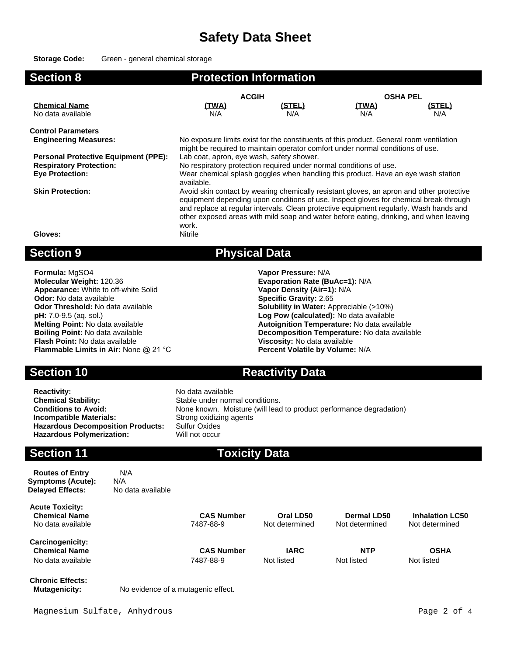### **Storage Code:** Green - general chemical storage

| <b>Section 8</b>                            |                                                                                                                                                                                                                                                                                                                                                                                | <b>Protection Information</b> |              |                 |  |
|---------------------------------------------|--------------------------------------------------------------------------------------------------------------------------------------------------------------------------------------------------------------------------------------------------------------------------------------------------------------------------------------------------------------------------------|-------------------------------|--------------|-----------------|--|
|                                             | <b>ACGIH</b>                                                                                                                                                                                                                                                                                                                                                                   |                               |              | <b>OSHA PEL</b> |  |
| <b>Chemical Name</b>                        | (TWA)                                                                                                                                                                                                                                                                                                                                                                          | <u>(STEL)</u>                 | <u>(TWA)</u> | (STEL)          |  |
| No data available                           | N/A                                                                                                                                                                                                                                                                                                                                                                            | N/A                           | N/A          | N/A             |  |
| <b>Control Parameters</b>                   |                                                                                                                                                                                                                                                                                                                                                                                |                               |              |                 |  |
| <b>Engineering Measures:</b>                | No exposure limits exist for the constituents of this product. General room ventilation<br>might be required to maintain operator comfort under normal conditions of use.                                                                                                                                                                                                      |                               |              |                 |  |
| <b>Personal Protective Equipment (PPE):</b> | Lab coat, apron, eye wash, safety shower.                                                                                                                                                                                                                                                                                                                                      |                               |              |                 |  |
| <b>Respiratory Protection:</b>              | No respiratory protection required under normal conditions of use.                                                                                                                                                                                                                                                                                                             |                               |              |                 |  |
| <b>Eye Protection:</b>                      | Wear chemical splash goggles when handling this product. Have an eye wash station<br>available.                                                                                                                                                                                                                                                                                |                               |              |                 |  |
| <b>Skin Protection:</b>                     | Avoid skin contact by wearing chemically resistant gloves, an apron and other protective<br>equipment depending upon conditions of use. Inspect gloves for chemical break-through<br>and replace at regular intervals. Clean protective equipment regularly. Wash hands and<br>other exposed areas with mild soap and water before eating, drinking, and when leaving<br>work. |                               |              |                 |  |
| Gloves:                                     | Nitrile                                                                                                                                                                                                                                                                                                                                                                        |                               |              |                 |  |
| <b>Section 9</b>                            |                                                                                                                                                                                                                                                                                                                                                                                | <b>Physical Data</b>          |              |                 |  |

**Formula:** MgSO4 **Vapor Pressure:** N/A **Molecular Weight:** 120.36 **Evaporation Rate (BuAc=1):** N/A **Appearance:** White to off-white Solid **Vapor Density (Air=1):** N/A **Odor:** No data available **Specific Gravity:** 2.65 **Odor:** No data available **Specific Gravity:** 2.65<br> **Odor Threshold:** No data available **Solubility in Water:** Apple **Solubility in Water:** Apple **Solubility in Water:** Apple **Solubility in Water:** Apple **Solubility** in Wa **Odor Threshold:** No data available **Solubility in Water:** Appreciable (>10%) **pH:** 7.0-9.5 (aq. sol.) **pH:** 7.0-9.5 (aq. sol.) **pH:** 7.0-9.5 (aq. sol.) **Log Pow (calculated):** No data available **Melting Point:** No data available **Autoignition Temperature:** No data available **Boiling Point:** No data available **Boiling Point:** No data available **Flash Point:** No data available **Viscosity: No data available Flammable Limits in Air:** None @ 21 °C **Percent Volatile by Volume:** N/A **Flammable Limits in Air: None @ 21 °C** 

**Reactivity:** No data available<br> **Chemical Stability:** No data available<br>
Stable under norm **Chemical Stability:** Stable under normal conditions.<br> **Conditions to Avoid:** Stable known. Moisture (will lead **Incompatible Materials:** Strong oxidizing agents<br> **Hazardous Decomposition Products:** Sulfur Oxides **Hazardous Decomposition Products: Hazardous Polymerization:** Will not occur

## **Section 10 Reactivity Data**

**Decomposition Temperature:** No data available **Viscosity:** No data available

None known. Moisture (will lead to product performance degradation)

### **Section 11 Toxicity Data**

**Routes of Entry** N/A **Symptoms (Acute):** N/A **Delayed Effects:** No data available

**Acute Toxicity:** No data available

**Carcinogenicity: Chemical Name CAS Number IARC NTP OSHA** No data available 7487-88-9 Not listed Not listed Not listed

**CAS Number CAS Number CAS Number CAS Number CAS Number CAS Oral LD50 Dermal LD50 Inhalation LC50 CAS Number CAS Number CAS Number CAS Number CAS Number CAS Number CAS Number CAS Number CAS** 

**Chronic Effects:**

**Mutagenicity:** No evidence of a mutagenic effect.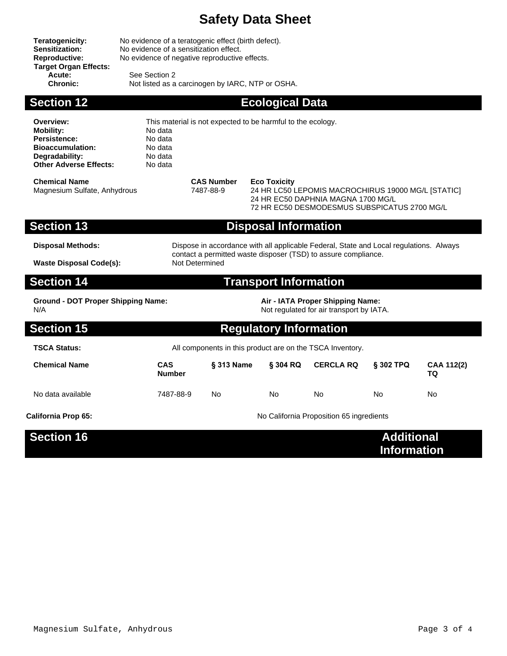**Target Organ Effects: Acute:** See Section 2<br> **Chronic:** Not listed as a

**Teratogenicity:** No evidence of a teratogenic effect (birth defect).<br>**Sensitization:** No evidence of a sensitization effect. Sensitization: No evidence of a sensitization effect.<br>
Reproductive: No evidence of negative reproductive No evidence of negative reproductive effects.

Not listed as a carcinogen by IARC, NTP or OSHA.

**Section 12 Ecological Data** 

| Overview:<br><b>Mobility:</b><br>Persistence:<br><b>Bioaccumulation:</b><br>Degradability:<br><b>Other Adverse Effects:</b>      | This material is not expected to be harmful to the ecology.<br>No data<br>No data<br>No data<br>No data<br>No data                                                         |                                |                                                                                                                                                                 |                  |                                         |                  |
|----------------------------------------------------------------------------------------------------------------------------------|----------------------------------------------------------------------------------------------------------------------------------------------------------------------------|--------------------------------|-----------------------------------------------------------------------------------------------------------------------------------------------------------------|------------------|-----------------------------------------|------------------|
| <b>Chemical Name</b><br>Magnesium Sulfate, Anhydrous                                                                             |                                                                                                                                                                            | <b>CAS Number</b><br>7487-88-9 | <b>Eco Toxicity</b><br>24 HR LC50 LEPOMIS MACROCHIRUS 19000 MG/L [STATIC]<br>24 HR EC50 DAPHNIA MAGNA 1700 MG/L<br>72 HR EC50 DESMODESMUS SUBSPICATUS 2700 MG/L |                  |                                         |                  |
| <b>Section 13</b>                                                                                                                |                                                                                                                                                                            |                                | <b>Disposal Information</b>                                                                                                                                     |                  |                                         |                  |
| <b>Disposal Methods:</b><br><b>Waste Disposal Code(s):</b>                                                                       | Dispose in accordance with all applicable Federal, State and Local regulations. Always<br>contact a permitted waste disposer (TSD) to assure compliance.<br>Not Determined |                                |                                                                                                                                                                 |                  |                                         |                  |
| <b>Section 14</b>                                                                                                                |                                                                                                                                                                            |                                | <b>Transport Information</b>                                                                                                                                    |                  |                                         |                  |
| Air - IATA Proper Shipping Name:<br><b>Ground - DOT Proper Shipping Name:</b><br>N/A<br>Not regulated for air transport by IATA. |                                                                                                                                                                            |                                |                                                                                                                                                                 |                  |                                         |                  |
| <b>Section 15</b>                                                                                                                |                                                                                                                                                                            |                                | <b>Regulatory Information</b>                                                                                                                                   |                  |                                         |                  |
| <b>TSCA Status:</b>                                                                                                              | All components in this product are on the TSCA Inventory.                                                                                                                  |                                |                                                                                                                                                                 |                  |                                         |                  |
| <b>Chemical Name</b>                                                                                                             | <b>CAS</b><br><b>Number</b>                                                                                                                                                | § 313 Name                     | § 304 RQ                                                                                                                                                        | <b>CERCLA RQ</b> | § 302 TPQ                               | CAA 112(2)<br>TQ |
| No data available                                                                                                                | 7487-88-9                                                                                                                                                                  | <b>No</b>                      | N <sub>o</sub>                                                                                                                                                  | <b>No</b>        | N٥                                      | N٥               |
| California Prop 65:                                                                                                              | No California Proposition 65 ingredients                                                                                                                                   |                                |                                                                                                                                                                 |                  |                                         |                  |
| <b>Section 16</b>                                                                                                                |                                                                                                                                                                            |                                |                                                                                                                                                                 |                  | <b>Additional</b><br><b>Information</b> |                  |